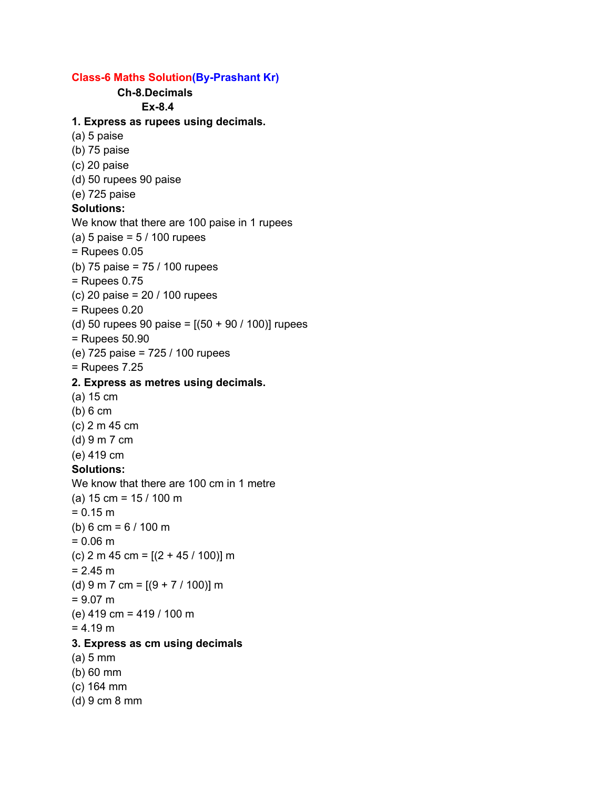## **Class-6 Maths Solution(By-Prashant Kr)**

**Ch-8.Decimals Ex-8.4 1. Express as rupees using decimals.** (a) 5 paise (b) 75 paise (c) 20 paise (d) 50 rupees 90 paise (e) 725 paise **Solutions:** We know that there are 100 paise in 1 rupees (a) 5 paise =  $5/100$  rupees = Rupees 0.05 (b) 75 paise = 75 / 100 rupees = Rupees 0.75 (c) 20 paise = 20 / 100 rupees = Rupees 0.20 (d) 50 rupees 90 paise =  $[(50 + 90 / 100)]$  rupees = Rupees 50.90 (e) 725 paise = 725 / 100 rupees = Rupees 7.25 **2. Express as metres using decimals.** (a) 15 cm (b) 6 cm (c) 2 m 45 cm (d) 9 m 7 cm (e) 419 cm **Solutions:** We know that there are 100 cm in 1 metre (a) 15 cm = 15 / 100 m  $= 0.15 m$ (b) 6 cm = 6 / 100 m  $= 0.06$  m (c) 2 m 45 cm = [(2 + 45 / 100)] m  $= 2.45 m$ (d) 9 m 7 cm =  $[(9 + 7 / 100)]$  m  $= 9.07$  m (e) 419 cm = 419 / 100 m  $= 4.19 m$ **3. Express as cm using decimals** (a) 5 mm (b) 60 mm (c) 164 mm (d) 9 cm 8 mm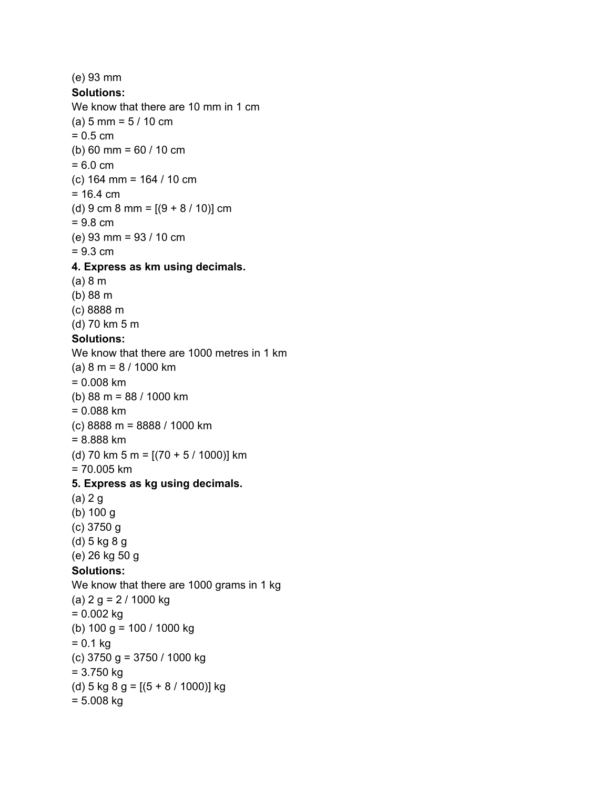(e) 93 mm **Solutions:** We know that there are 10 mm in 1 cm (a) 5 mm = 5 / 10 cm  $= 0.5$  cm (b) 60 mm = 60 / 10 cm  $= 6.0 \text{ cm}$ (c) 164 mm = 164 / 10 cm  $= 16.4 \text{ cm}$ (d) 9 cm 8 mm =  $[(9 + 8 / 10)]$  cm = 9.8 cm (e) 93 mm = 93 / 10 cm = 9.3 cm **4. Express as km using decimals.** (a) 8 m (b) 88 m (c) 8888 m (d) 70 km 5 m **Solutions:** We know that there are 1000 metres in 1 km (a) 8 m = 8 / 1000 km = 0.008 km (b) 88 m = 88 / 1000 km = 0.088 km (c) 8888 m = 8888 / 1000 km = 8.888 km (d) 70 km 5 m =  $[(70 + 5 / 1000)]$  km = 70.005 km **5. Express as kg using decimals.** (a) 2 g (b) 100 g (c) 3750 g (d) 5 kg 8 g (e) 26 kg 50 g **Solutions:** We know that there are 1000 grams in 1 kg (a)  $2 g = 2 / 1000 kg$  $= 0.002$  kg (b) 100 g = 100 / 1000 kg  $= 0.1$  kg (c) 3750 g = 3750 / 1000 kg = 3.750 kg (d) 5 kg 8 g = [(5 + 8 / 1000)] kg = 5.008 kg